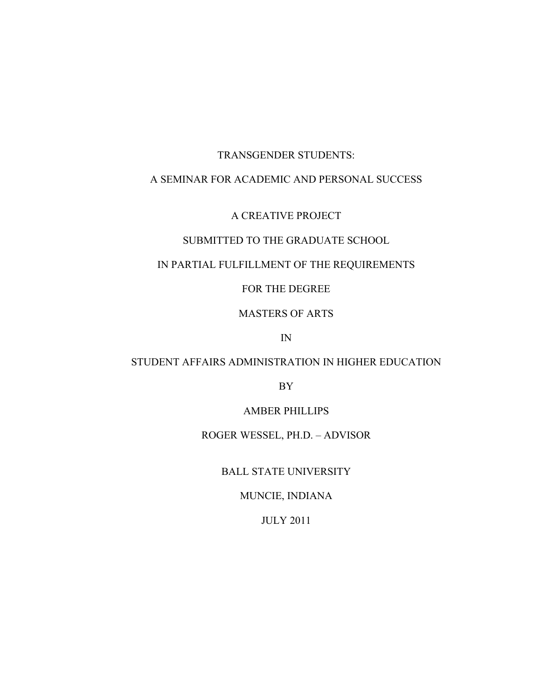## TRANSGENDER STUDENTS:

## A SEMINAR FOR ACADEMIC AND PERSONAL SUCCESS

## A CREATIVE PROJECT

## SUBMITTED TO THE GRADUATE SCHOOL

## IN PARTIAL FULFILLMENT OF THE REQUIREMENTS

## FOR THE DEGREE

## MASTERS OF ARTS

IN

## STUDENT AFFAIRS ADMINISTRATION IN HIGHER EDUCATION

BY

AMBER PHILLIPS

ROGER WESSEL, PH.D. – ADVISOR

BALL STATE UNIVERSITY

MUNCIE, INDIANA

JULY 2011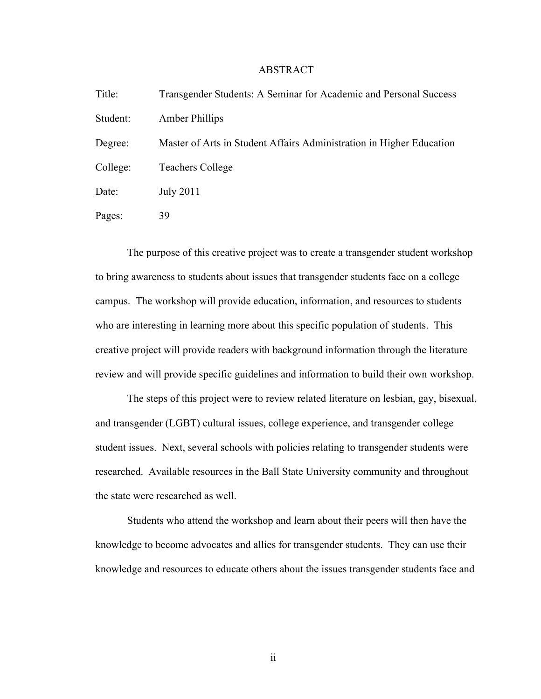## ABSTRACT

| Title:   | Transgender Students: A Seminar for Academic and Personal Success    |
|----------|----------------------------------------------------------------------|
| Student: | Amber Phillips                                                       |
| Degree:  | Master of Arts in Student Affairs Administration in Higher Education |
| College: | <b>Teachers College</b>                                              |
| Date:    | <b>July 2011</b>                                                     |
| Pages:   | 39                                                                   |

The purpose of this creative project was to create a transgender student workshop to bring awareness to students about issues that transgender students face on a college campus. The workshop will provide education, information, and resources to students who are interesting in learning more about this specific population of students. This creative project will provide readers with background information through the literature review and will provide specific guidelines and information to build their own workshop.

The steps of this project were to review related literature on lesbian, gay, bisexual, and transgender (LGBT) cultural issues, college experience, and transgender college student issues. Next, several schools with policies relating to transgender students were researched. Available resources in the Ball State University community and throughout the state were researched as well.

Students who attend the workshop and learn about their peers will then have the knowledge to become advocates and allies for transgender students. They can use their knowledge and resources to educate others about the issues transgender students face and

ii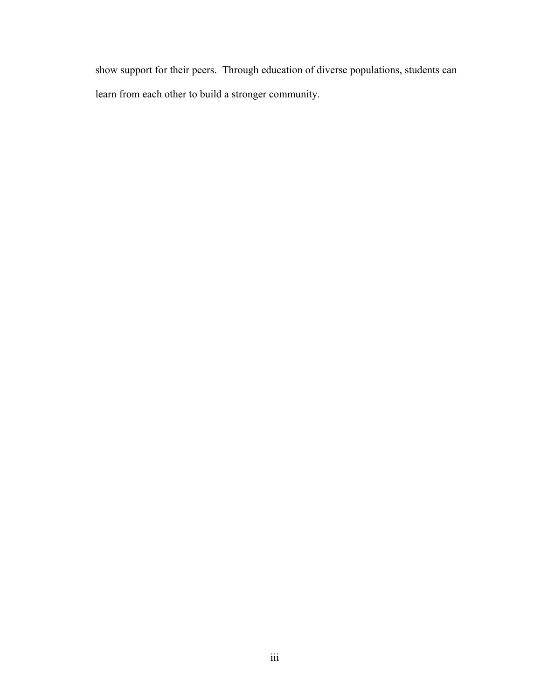show support for their peers. Through education of diverse populations, students can learn from each other to build a stronger community.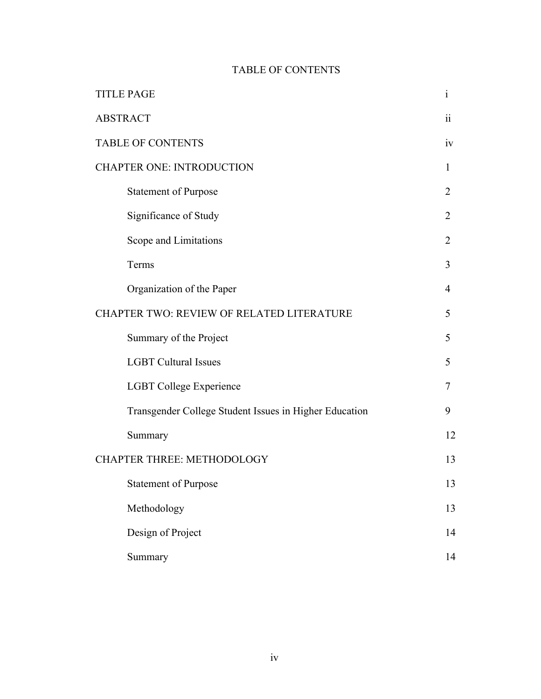## TABLE OF CONTENTS

| <b>TITLE PAGE</b>                         |                                                        |                |  |
|-------------------------------------------|--------------------------------------------------------|----------------|--|
| <b>ABSTRACT</b>                           |                                                        |                |  |
| <b>TABLE OF CONTENTS</b>                  |                                                        |                |  |
| <b>CHAPTER ONE: INTRODUCTION</b>          |                                                        |                |  |
|                                           | <b>Statement of Purpose</b>                            | 2              |  |
|                                           | Significance of Study                                  | 2              |  |
|                                           | Scope and Limitations                                  | 2              |  |
|                                           | Terms                                                  | 3              |  |
|                                           | Organization of the Paper                              | $\overline{4}$ |  |
| CHAPTER TWO: REVIEW OF RELATED LITERATURE |                                                        |                |  |
|                                           | Summary of the Project                                 | 5              |  |
|                                           | <b>LGBT Cultural Issues</b>                            | 5              |  |
|                                           | <b>LGBT College Experience</b>                         | 7              |  |
|                                           | Transgender College Student Issues in Higher Education | 9              |  |
|                                           | Summary                                                | 12             |  |
|                                           | <b>CHAPTER THREE: METHODOLOGY</b>                      |                |  |
|                                           | <b>Statement of Purpose</b>                            | 13             |  |
|                                           | Methodology                                            | 13             |  |
|                                           | Design of Project                                      | 14             |  |
|                                           | Summary                                                | 14             |  |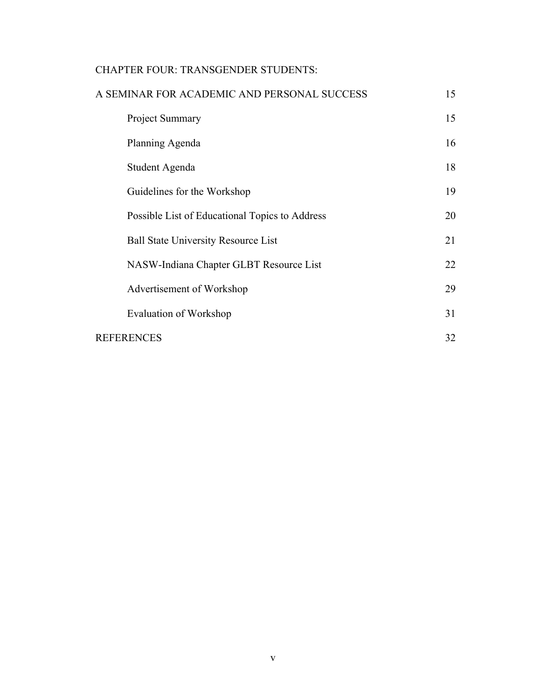## CHAPTER FOUR: TRANSGENDER STUDENTS:

| A SEMINAR FOR ACADEMIC AND PERSONAL SUCCESS    |    |
|------------------------------------------------|----|
| Project Summary                                | 15 |
| Planning Agenda                                | 16 |
| Student Agenda                                 | 18 |
| Guidelines for the Workshop                    | 19 |
| Possible List of Educational Topics to Address | 20 |
| <b>Ball State University Resource List</b>     | 21 |
| NASW-Indiana Chapter GLBT Resource List        | 22 |
| Advertisement of Workshop                      | 29 |
| Evaluation of Workshop                         | 31 |
| REFERENCES                                     |    |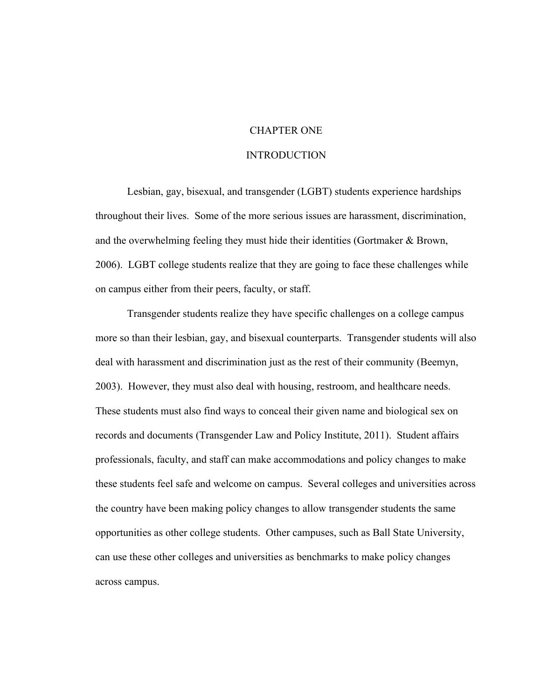## CHAPTER ONE

## INTRODUCTION

Lesbian, gay, bisexual, and transgender (LGBT) students experience hardships throughout their lives. Some of the more serious issues are harassment, discrimination, and the overwhelming feeling they must hide their identities (Gortmaker & Brown, 2006). LGBT college students realize that they are going to face these challenges while on campus either from their peers, faculty, or staff.

Transgender students realize they have specific challenges on a college campus more so than their lesbian, gay, and bisexual counterparts. Transgender students will also deal with harassment and discrimination just as the rest of their community (Beemyn, 2003). However, they must also deal with housing, restroom, and healthcare needs. These students must also find ways to conceal their given name and biological sex on records and documents (Transgender Law and Policy Institute, 2011). Student affairs professionals, faculty, and staff can make accommodations and policy changes to make these students feel safe and welcome on campus. Several colleges and universities across the country have been making policy changes to allow transgender students the same opportunities as other college students. Other campuses, such as Ball State University, can use these other colleges and universities as benchmarks to make policy changes across campus.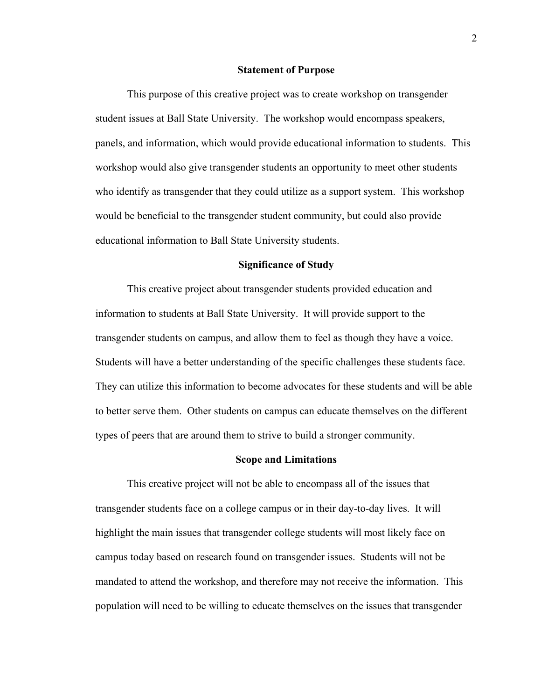#### **Statement of Purpose**

This purpose of this creative project was to create workshop on transgender student issues at Ball State University. The workshop would encompass speakers, panels, and information, which would provide educational information to students. This workshop would also give transgender students an opportunity to meet other students who identify as transgender that they could utilize as a support system. This workshop would be beneficial to the transgender student community, but could also provide educational information to Ball State University students.

#### **Significance of Study**

This creative project about transgender students provided education and information to students at Ball State University. It will provide support to the transgender students on campus, and allow them to feel as though they have a voice. Students will have a better understanding of the specific challenges these students face. They can utilize this information to become advocates for these students and will be able to better serve them. Other students on campus can educate themselves on the different types of peers that are around them to strive to build a stronger community.

#### **Scope and Limitations**

This creative project will not be able to encompass all of the issues that transgender students face on a college campus or in their day-to-day lives. It will highlight the main issues that transgender college students will most likely face on campus today based on research found on transgender issues. Students will not be mandated to attend the workshop, and therefore may not receive the information. This population will need to be willing to educate themselves on the issues that transgender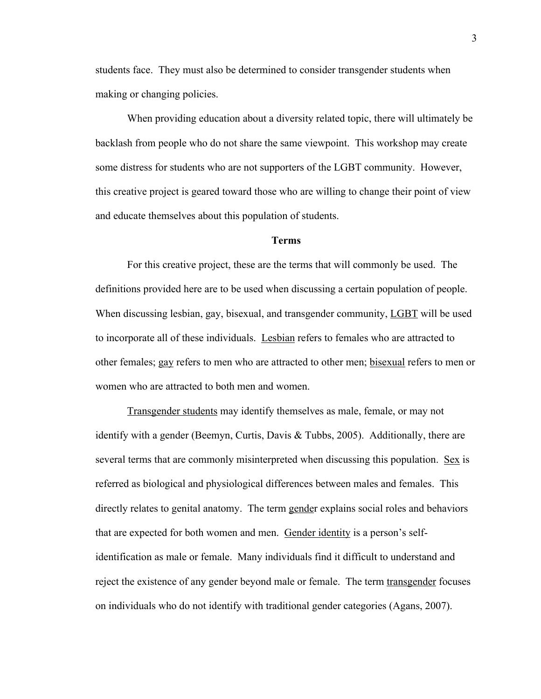students face. They must also be determined to consider transgender students when making or changing policies.

When providing education about a diversity related topic, there will ultimately be backlash from people who do not share the same viewpoint. This workshop may create some distress for students who are not supporters of the LGBT community. However, this creative project is geared toward those who are willing to change their point of view and educate themselves about this population of students.

## **Terms**

For this creative project, these are the terms that will commonly be used. The definitions provided here are to be used when discussing a certain population of people. When discussing lesbian, gay, bisexual, and transgender community, LGBT will be used to incorporate all of these individuals. Lesbian refers to females who are attracted to other females; gay refers to men who are attracted to other men; bisexual refers to men or women who are attracted to both men and women.

Transgender students may identify themselves as male, female, or may not identify with a gender (Beemyn, Curtis, Davis & Tubbs, 2005). Additionally, there are several terms that are commonly misinterpreted when discussing this population. Sex is referred as biological and physiological differences between males and females. This directly relates to genital anatomy. The term gender explains social roles and behaviors that are expected for both women and men. Gender identity is a person's selfidentification as male or female. Many individuals find it difficult to understand and reject the existence of any gender beyond male or female. The term transgender focuses on individuals who do not identify with traditional gender categories (Agans, 2007).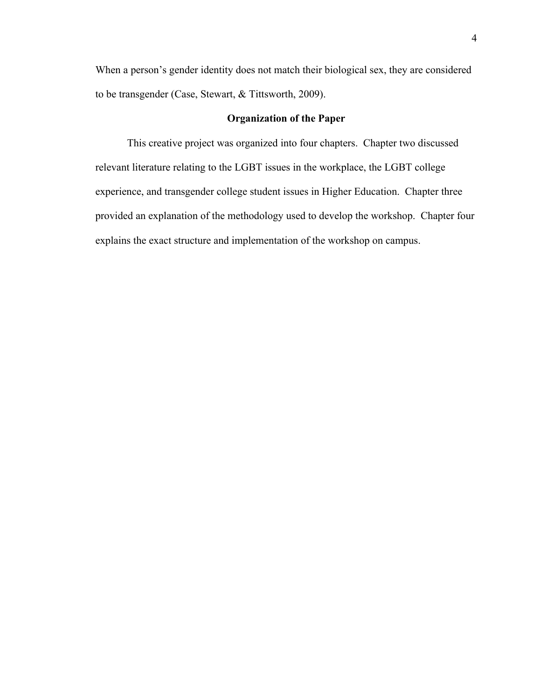When a person's gender identity does not match their biological sex, they are considered to be transgender (Case, Stewart, & Tittsworth, 2009).

## **Organization of the Paper**

This creative project was organized into four chapters. Chapter two discussed relevant literature relating to the LGBT issues in the workplace, the LGBT college experience, and transgender college student issues in Higher Education. Chapter three provided an explanation of the methodology used to develop the workshop. Chapter four explains the exact structure and implementation of the workshop on campus.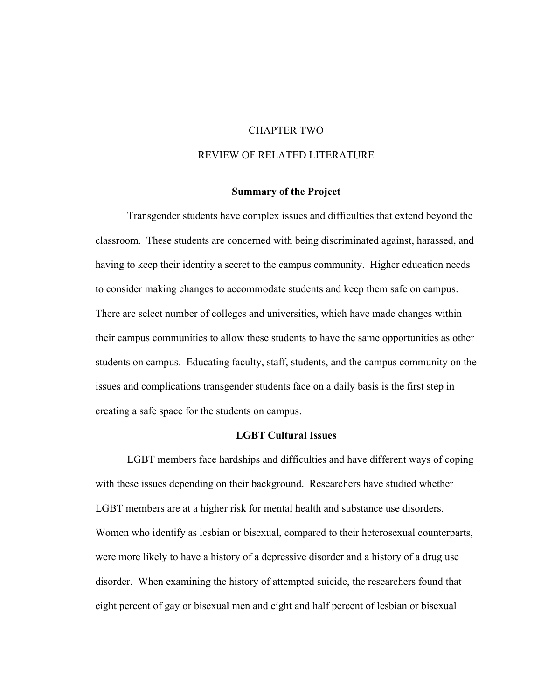## CHAPTER TWO

## REVIEW OF RELATED LITERATURE

## **Summary of the Project**

Transgender students have complex issues and difficulties that extend beyond the classroom. These students are concerned with being discriminated against, harassed, and having to keep their identity a secret to the campus community. Higher education needs to consider making changes to accommodate students and keep them safe on campus. There are select number of colleges and universities, which have made changes within their campus communities to allow these students to have the same opportunities as other students on campus. Educating faculty, staff, students, and the campus community on the issues and complications transgender students face on a daily basis is the first step in creating a safe space for the students on campus.

## **LGBT Cultural Issues**

LGBT members face hardships and difficulties and have different ways of coping with these issues depending on their background. Researchers have studied whether LGBT members are at a higher risk for mental health and substance use disorders. Women who identify as lesbian or bisexual, compared to their heterosexual counterparts, were more likely to have a history of a depressive disorder and a history of a drug use disorder. When examining the history of attempted suicide, the researchers found that eight percent of gay or bisexual men and eight and half percent of lesbian or bisexual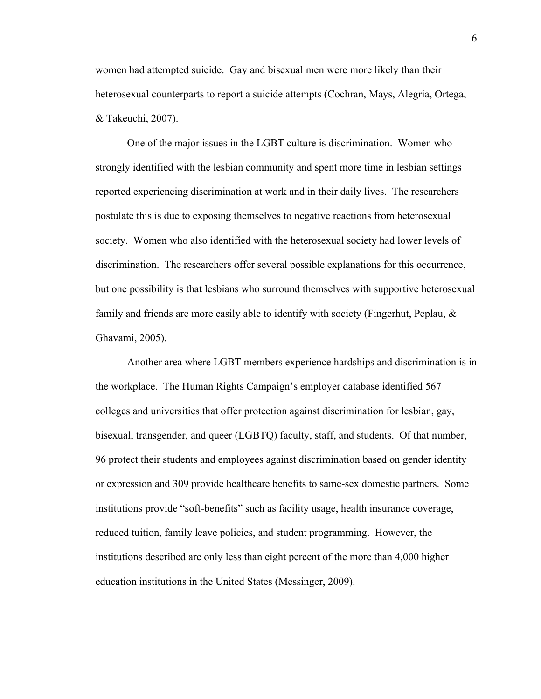women had attempted suicide. Gay and bisexual men were more likely than their heterosexual counterparts to report a suicide attempts (Cochran, Mays, Alegria, Ortega, & Takeuchi, 2007).

One of the major issues in the LGBT culture is discrimination. Women who strongly identified with the lesbian community and spent more time in lesbian settings reported experiencing discrimination at work and in their daily lives. The researchers postulate this is due to exposing themselves to negative reactions from heterosexual society. Women who also identified with the heterosexual society had lower levels of discrimination. The researchers offer several possible explanations for this occurrence, but one possibility is that lesbians who surround themselves with supportive heterosexual family and friends are more easily able to identify with society (Fingerhut, Peplau, & Ghavami, 2005).

Another area where LGBT members experience hardships and discrimination is in the workplace. The Human Rights Campaign's employer database identified 567 colleges and universities that offer protection against discrimination for lesbian, gay, bisexual, transgender, and queer (LGBTQ) faculty, staff, and students. Of that number, 96 protect their students and employees against discrimination based on gender identity or expression and 309 provide healthcare benefits to same-sex domestic partners. Some institutions provide "soft-benefits" such as facility usage, health insurance coverage, reduced tuition, family leave policies, and student programming. However, the institutions described are only less than eight percent of the more than 4,000 higher education institutions in the United States (Messinger, 2009).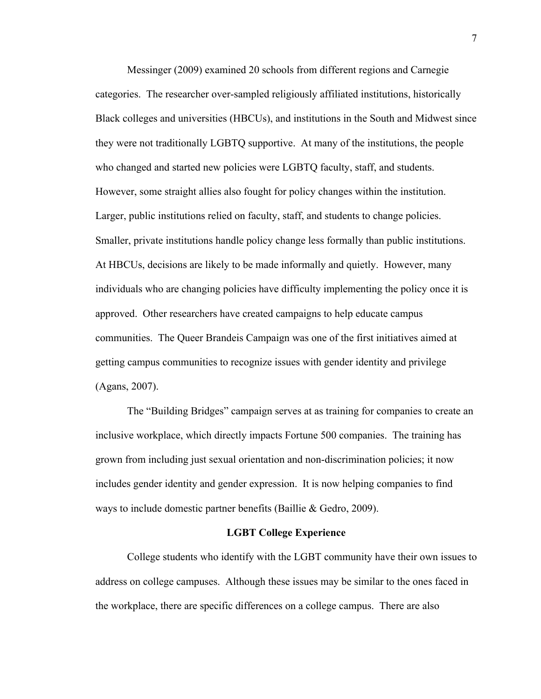Messinger (2009) examined 20 schools from different regions and Carnegie categories. The researcher over-sampled religiously affiliated institutions, historically Black colleges and universities (HBCUs), and institutions in the South and Midwest since they were not traditionally LGBTQ supportive. At many of the institutions, the people who changed and started new policies were LGBTQ faculty, staff, and students. However, some straight allies also fought for policy changes within the institution. Larger, public institutions relied on faculty, staff, and students to change policies. Smaller, private institutions handle policy change less formally than public institutions. At HBCUs, decisions are likely to be made informally and quietly. However, many individuals who are changing policies have difficulty implementing the policy once it is approved. Other researchers have created campaigns to help educate campus communities. The Queer Brandeis Campaign was one of the first initiatives aimed at getting campus communities to recognize issues with gender identity and privilege (Agans, 2007).

The "Building Bridges" campaign serves at as training for companies to create an inclusive workplace, which directly impacts Fortune 500 companies. The training has grown from including just sexual orientation and non-discrimination policies; it now includes gender identity and gender expression. It is now helping companies to find ways to include domestic partner benefits (Baillie & Gedro, 2009).

## **LGBT College Experience**

College students who identify with the LGBT community have their own issues to address on college campuses. Although these issues may be similar to the ones faced in the workplace, there are specific differences on a college campus. There are also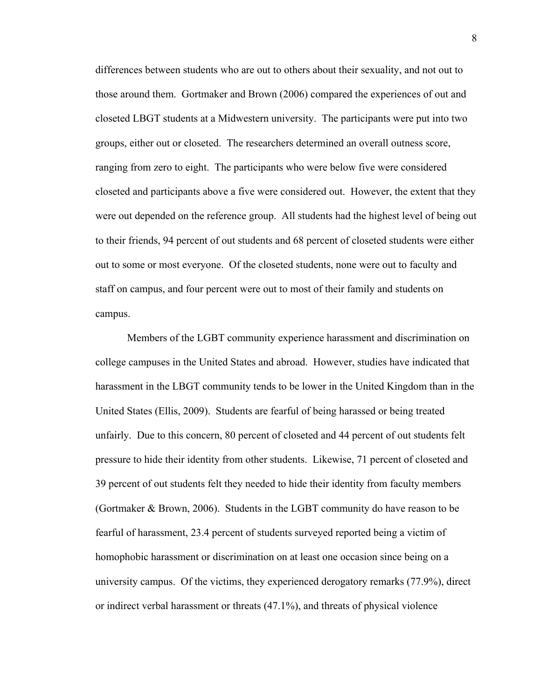differences between students who are out to others about their sexuality, and not out to those around them. Gortmaker and Brown (2006) compared the experiences of out and closeted LBGT students at a Midwestern university. The participants were put into two groups, either out or closeted. The researchers determined an overall outness score, ranging from zero to eight. The participants who were below five were considered closeted and participants above a five were considered out. However, the extent that they were out depended on the reference group. All students had the highest level of being out to their friends, 94 percent of out students and 68 percent of closeted students were either out to some or most everyone. Of the closeted students, none were out to faculty and staff on campus, and four percent were out to most of their family and students on campus.

Members of the LGBT community experience harassment and discrimination on college campuses in the United States and abroad. However, studies have indicated that harassment in the LBGT community tends to be lower in the United Kingdom than in the United States (Ellis, 2009). Students are fearful of being harassed or being treated unfairly. Due to this concern, 80 percent of closeted and 44 percent of out students felt pressure to hide their identity from other students. Likewise, 71 percent of closeted and 39 percent of out students felt they needed to hide their identity from faculty members (Gortmaker & Brown, 2006). Students in the LGBT community do have reason to be fearful of harassment, 23.4 percent of students surveyed reported being a victim of homophobic harassment or discrimination on at least one occasion since being on a university campus. Of the victims, they experienced derogatory remarks (77.9%), direct or indirect verbal harassment or threats (47.1%), and threats of physical violence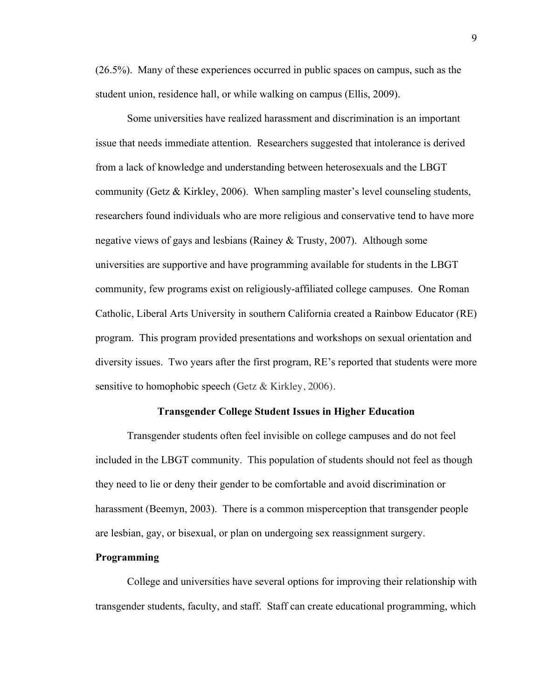(26.5%). Many of these experiences occurred in public spaces on campus, such as the student union, residence hall, or while walking on campus (Ellis, 2009).

Some universities have realized harassment and discrimination is an important issue that needs immediate attention. Researchers suggested that intolerance is derived from a lack of knowledge and understanding between heterosexuals and the LBGT community (Getz & Kirkley, 2006). When sampling master's level counseling students, researchers found individuals who are more religious and conservative tend to have more negative views of gays and lesbians (Rainey & Trusty, 2007). Although some universities are supportive and have programming available for students in the LBGT community, few programs exist on religiously-affiliated college campuses. One Roman Catholic, Liberal Arts University in southern California created a Rainbow Educator (RE) program. This program provided presentations and workshops on sexual orientation and diversity issues. Two years after the first program, RE's reported that students were more sensitive to homophobic speech (Getz & Kirkley, 2006).

## **Transgender College Student Issues in Higher Education**

Transgender students often feel invisible on college campuses and do not feel included in the LBGT community. This population of students should not feel as though they need to lie or deny their gender to be comfortable and avoid discrimination or harassment (Beemyn, 2003). There is a common misperception that transgender people are lesbian, gay, or bisexual, or plan on undergoing sex reassignment surgery.

## **Programming**

College and universities have several options for improving their relationship with transgender students, faculty, and staff. Staff can create educational programming, which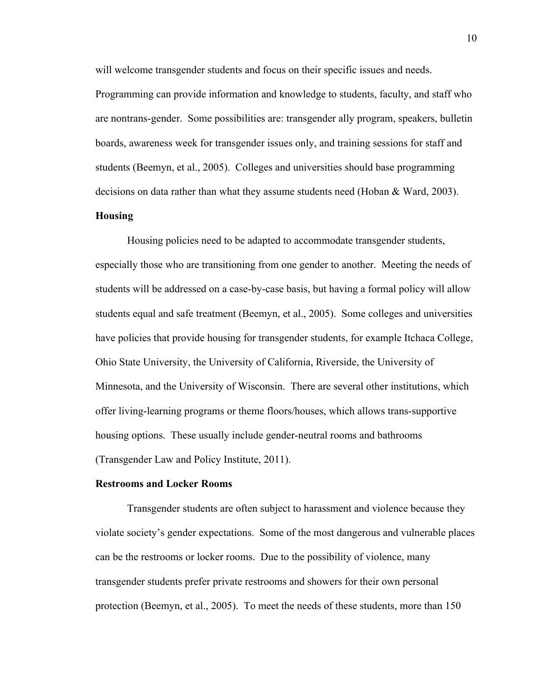will welcome transgender students and focus on their specific issues and needs.

Programming can provide information and knowledge to students, faculty, and staff who are nontrans-gender. Some possibilities are: transgender ally program, speakers, bulletin boards, awareness week for transgender issues only, and training sessions for staff and students (Beemyn, et al., 2005). Colleges and universities should base programming decisions on data rather than what they assume students need (Hoban & Ward, 2003).

## **Housing**

Housing policies need to be adapted to accommodate transgender students, especially those who are transitioning from one gender to another. Meeting the needs of students will be addressed on a case-by-case basis, but having a formal policy will allow students equal and safe treatment (Beemyn, et al., 2005). Some colleges and universities have policies that provide housing for transgender students, for example Itchaca College, Ohio State University, the University of California, Riverside, the University of Minnesota, and the University of Wisconsin. There are several other institutions, which offer living-learning programs or theme floors/houses, which allows trans-supportive housing options. These usually include gender-neutral rooms and bathrooms (Transgender Law and Policy Institute, 2011).

## **Restrooms and Locker Rooms**

Transgender students are often subject to harassment and violence because they violate society's gender expectations. Some of the most dangerous and vulnerable places can be the restrooms or locker rooms. Due to the possibility of violence, many transgender students prefer private restrooms and showers for their own personal protection (Beemyn, et al., 2005). To meet the needs of these students, more than 150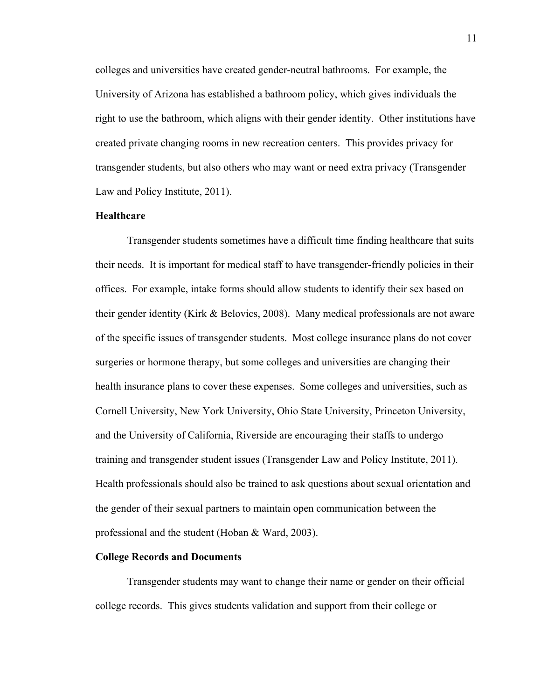colleges and universities have created gender-neutral bathrooms. For example, the University of Arizona has established a bathroom policy, which gives individuals the right to use the bathroom, which aligns with their gender identity. Other institutions have created private changing rooms in new recreation centers. This provides privacy for transgender students, but also others who may want or need extra privacy (Transgender Law and Policy Institute, 2011).

## **Healthcare**

Transgender students sometimes have a difficult time finding healthcare that suits their needs. It is important for medical staff to have transgender-friendly policies in their offices. For example, intake forms should allow students to identify their sex based on their gender identity (Kirk & Belovics, 2008). Many medical professionals are not aware of the specific issues of transgender students. Most college insurance plans do not cover surgeries or hormone therapy, but some colleges and universities are changing their health insurance plans to cover these expenses. Some colleges and universities, such as Cornell University, New York University, Ohio State University, Princeton University, and the University of California, Riverside are encouraging their staffs to undergo training and transgender student issues (Transgender Law and Policy Institute, 2011). Health professionals should also be trained to ask questions about sexual orientation and the gender of their sexual partners to maintain open communication between the professional and the student (Hoban & Ward, 2003).

#### **College Records and Documents**

Transgender students may want to change their name or gender on their official college records. This gives students validation and support from their college or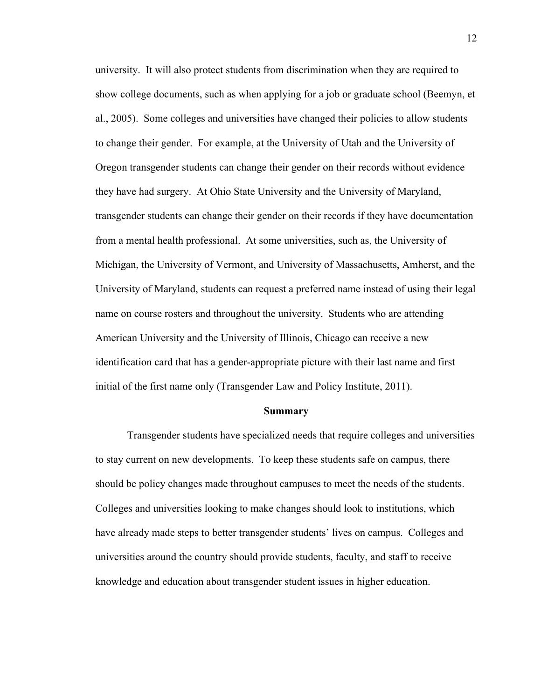university. It will also protect students from discrimination when they are required to show college documents, such as when applying for a job or graduate school (Beemyn, et al., 2005). Some colleges and universities have changed their policies to allow students to change their gender. For example, at the University of Utah and the University of Oregon transgender students can change their gender on their records without evidence they have had surgery. At Ohio State University and the University of Maryland, transgender students can change their gender on their records if they have documentation from a mental health professional. At some universities, such as, the University of Michigan, the University of Vermont, and University of Massachusetts, Amherst, and the University of Maryland, students can request a preferred name instead of using their legal name on course rosters and throughout the university. Students who are attending American University and the University of Illinois, Chicago can receive a new identification card that has a gender-appropriate picture with their last name and first initial of the first name only (Transgender Law and Policy Institute, 2011).

## **Summary**

Transgender students have specialized needs that require colleges and universities to stay current on new developments. To keep these students safe on campus, there should be policy changes made throughout campuses to meet the needs of the students. Colleges and universities looking to make changes should look to institutions, which have already made steps to better transgender students' lives on campus. Colleges and universities around the country should provide students, faculty, and staff to receive knowledge and education about transgender student issues in higher education.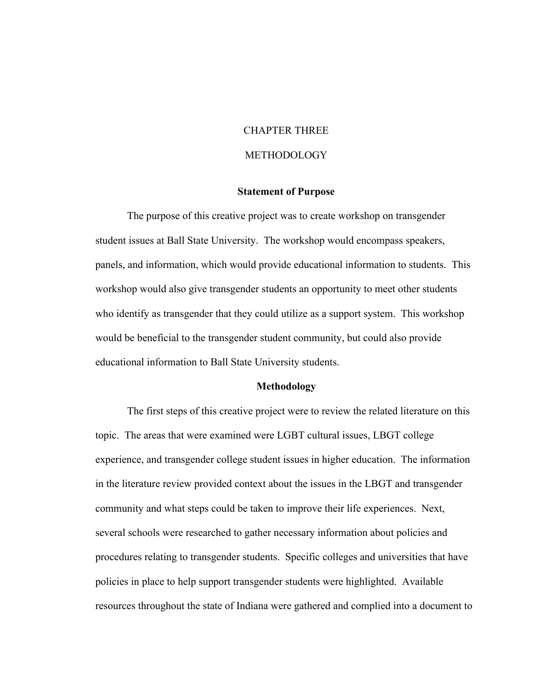## CHAPTER THREE

## **METHODOLOGY**

## **Statement of Purpose**

The purpose of this creative project was to create workshop on transgender student issues at Ball State University. The workshop would encompass speakers, panels, and information, which would provide educational information to students. This workshop would also give transgender students an opportunity to meet other students who identify as transgender that they could utilize as a support system. This workshop would be beneficial to the transgender student community, but could also provide educational information to Ball State University students.

### **Methodology**

The first steps of this creative project were to review the related literature on this topic. The areas that were examined were LGBT cultural issues, LBGT college experience, and transgender college student issues in higher education. The information in the literature review provided context about the issues in the LBGT and transgender community and what steps could be taken to improve their life experiences. Next, several schools were researched to gather necessary information about policies and procedures relating to transgender students. Specific colleges and universities that have policies in place to help support transgender students were highlighted. Available resources throughout the state of Indiana were gathered and complied into a document to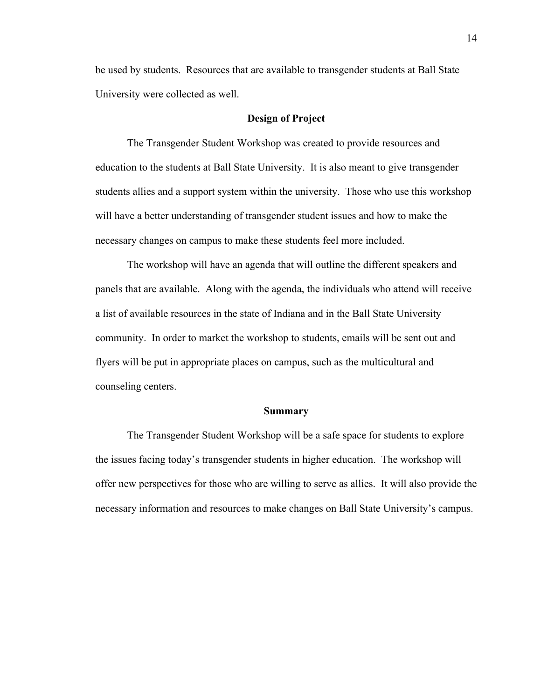be used by students. Resources that are available to transgender students at Ball State University were collected as well.

## **Design of Project**

The Transgender Student Workshop was created to provide resources and education to the students at Ball State University. It is also meant to give transgender students allies and a support system within the university. Those who use this workshop will have a better understanding of transgender student issues and how to make the necessary changes on campus to make these students feel more included.

The workshop will have an agenda that will outline the different speakers and panels that are available. Along with the agenda, the individuals who attend will receive a list of available resources in the state of Indiana and in the Ball State University community. In order to market the workshop to students, emails will be sent out and flyers will be put in appropriate places on campus, such as the multicultural and counseling centers.

#### **Summary**

The Transgender Student Workshop will be a safe space for students to explore the issues facing today's transgender students in higher education. The workshop will offer new perspectives for those who are willing to serve as allies. It will also provide the necessary information and resources to make changes on Ball State University's campus.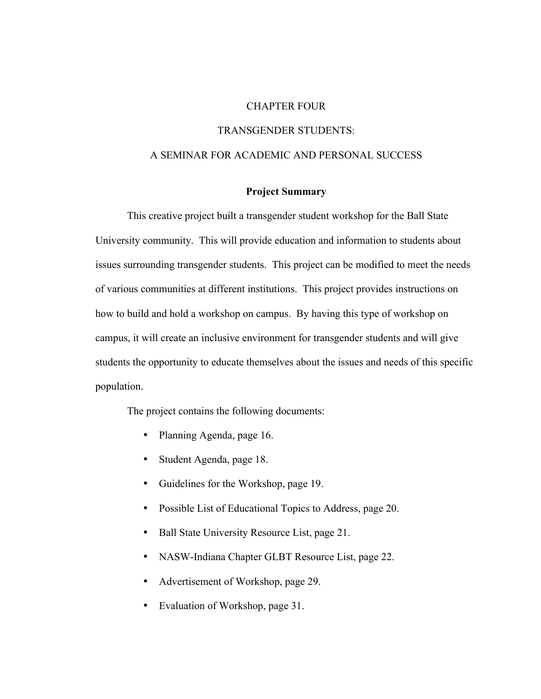## CHAPTER FOUR

## TRANSGENDER STUDENTS:

## A SEMINAR FOR ACADEMIC AND PERSONAL SUCCESS

## **Project Summary**

This creative project built a transgender student workshop for the Ball State University community. This will provide education and information to students about issues surrounding transgender students. This project can be modified to meet the needs of various communities at different institutions. This project provides instructions on how to build and hold a workshop on campus. By having this type of workshop on campus, it will create an inclusive environment for transgender students and will give students the opportunity to educate themselves about the issues and needs of this specific population.

The project contains the following documents:

- Planning Agenda, page 16.
- Student Agenda, page 18.
- Guidelines for the Workshop, page 19.
- Possible List of Educational Topics to Address, page 20.
- Ball State University Resource List, page 21.
- NASW-Indiana Chapter GLBT Resource List, page 22.
- Advertisement of Workshop, page 29.
- Evaluation of Workshop, page 31.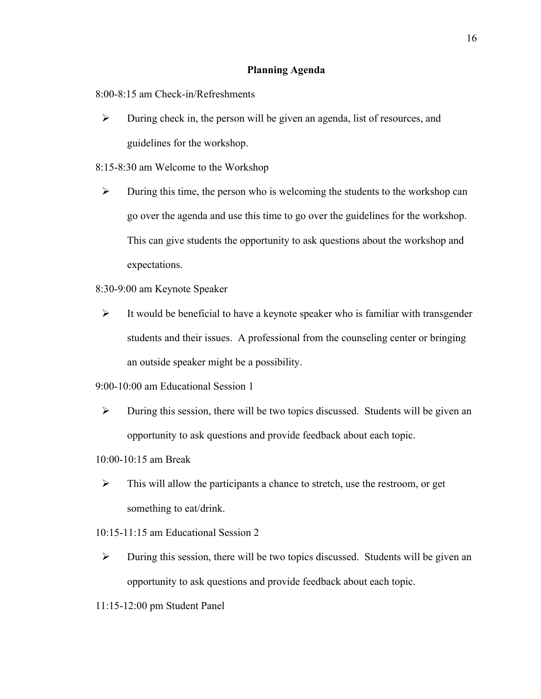## **Planning Agenda**

8:00-8:15 am Check-in/Refreshments

- $\triangleright$  During check in, the person will be given an agenda, list of resources, and guidelines for the workshop.
- 8:15-8:30 am Welcome to the Workshop
	- $\triangleright$  During this time, the person who is welcoming the students to the workshop can go over the agenda and use this time to go over the guidelines for the workshop. This can give students the opportunity to ask questions about the workshop and expectations.
- 8:30-9:00 am Keynote Speaker
	- $\triangleright$  It would be beneficial to have a keynote speaker who is familiar with transgender students and their issues. A professional from the counseling center or bringing an outside speaker might be a possibility.
- 9:00-10:00 am Educational Session 1
	- $\triangleright$  During this session, there will be two topics discussed. Students will be given an opportunity to ask questions and provide feedback about each topic.
- 10:00-10:15 am Break
	- $\triangleright$  This will allow the participants a chance to stretch, use the restroom, or get something to eat/drink.
- 10:15-11:15 am Educational Session 2
- $\triangleright$  During this session, there will be two topics discussed. Students will be given an opportunity to ask questions and provide feedback about each topic.
- 11:15-12:00 pm Student Panel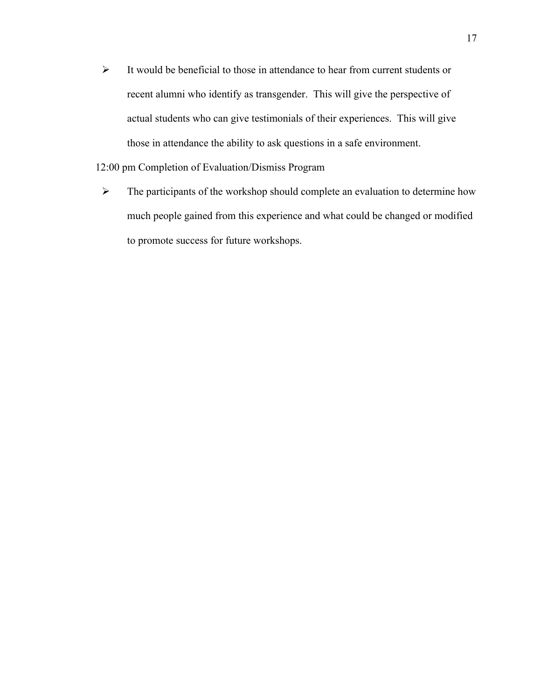$\triangleright$  It would be beneficial to those in attendance to hear from current students or recent alumni who identify as transgender. This will give the perspective of actual students who can give testimonials of their experiences. This will give those in attendance the ability to ask questions in a safe environment.

## 12:00 pm Completion of Evaluation/Dismiss Program

 $\triangleright$  The participants of the workshop should complete an evaluation to determine how much people gained from this experience and what could be changed or modified to promote success for future workshops.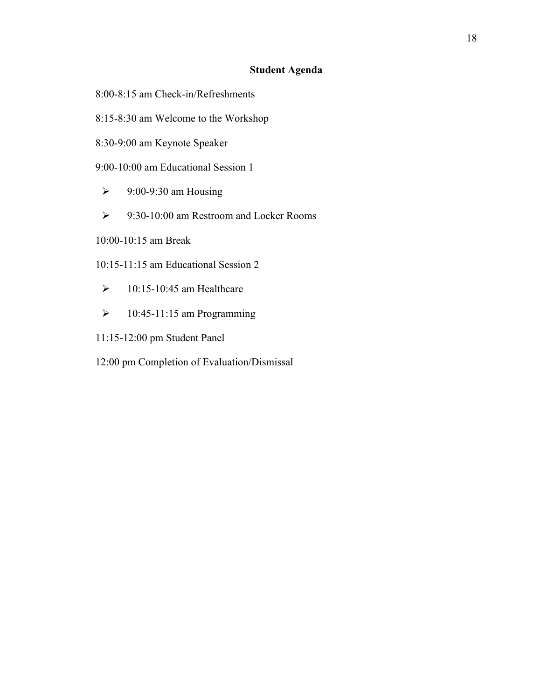## **Student Agenda**

- 8:00-8:15 am Check-in/Refreshments
- 8:15-8:30 am Welcome to the Workshop
- 8:30-9:00 am Keynote Speaker
- 9:00-10:00 am Educational Session 1
	- $\geq$  9:00-9:30 am Housing
- 9:30-10:00 am Restroom and Locker Rooms
- 10:00-10:15 am Break
- 10:15-11:15 am Educational Session 2
- $\geq$  10:15-10:45 am Healthcare
- $\geq 10:45-11:15$  am Programming
- 11:15-12:00 pm Student Panel
- 12:00 pm Completion of Evaluation/Dismissal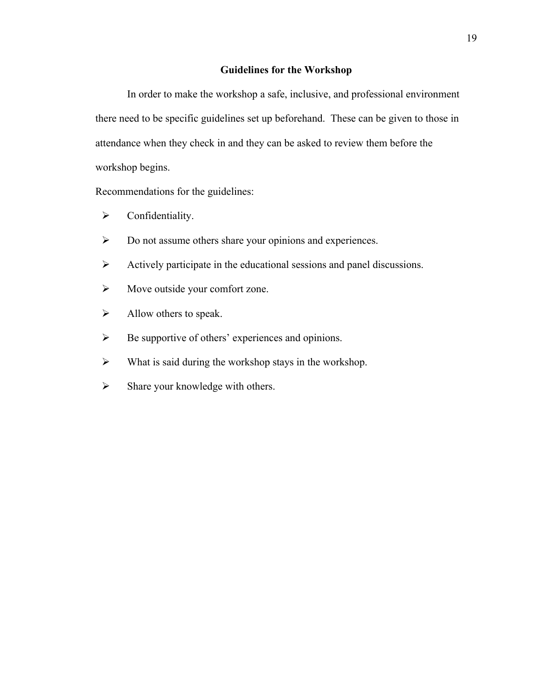## **Guidelines for the Workshop**

In order to make the workshop a safe, inclusive, and professional environment there need to be specific guidelines set up beforehand. These can be given to those in attendance when they check in and they can be asked to review them before the workshop begins.

Recommendations for the guidelines:

- $\triangleright$  Confidentiality.
- Do not assume others share your opinions and experiences.
- Actively participate in the educational sessions and panel discussions.
- $\triangleright$  Move outside your comfort zone.
- $\triangleright$  Allow others to speak.
- $\triangleright$  Be supportive of others' experiences and opinions.
- $\triangleright$  What is said during the workshop stays in the workshop.
- $\triangleright$  Share your knowledge with others.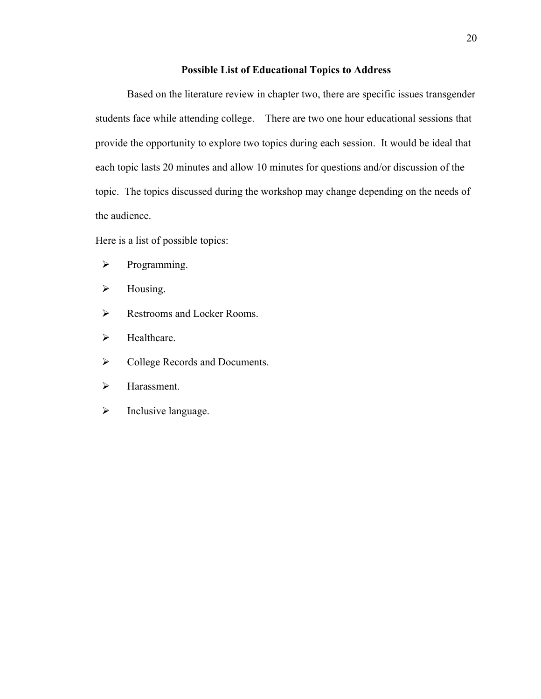## **Possible List of Educational Topics to Address**

Based on the literature review in chapter two, there are specific issues transgender students face while attending college. There are two one hour educational sessions that provide the opportunity to explore two topics during each session. It would be ideal that each topic lasts 20 minutes and allow 10 minutes for questions and/or discussion of the topic. The topics discussed during the workshop may change depending on the needs of the audience.

Here is a list of possible topics:

- $\triangleright$  Programming.
- $\triangleright$  Housing.
- Restrooms and Locker Rooms.
- $\blacktriangleright$  Healthcare.
- $\triangleright$  College Records and Documents.
- > Harassment.
- $\triangleright$  Inclusive language.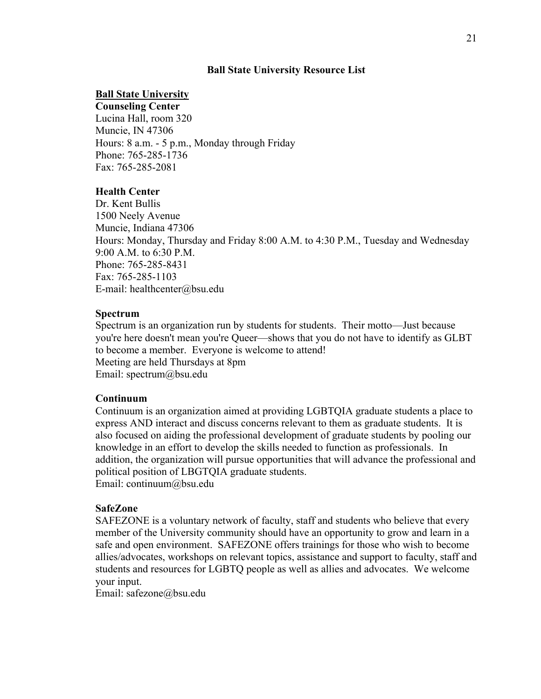## **Ball State University Resource List**

## **Ball State University**

**Counseling Center** Lucina Hall, room 320 Muncie, IN 47306 Hours: 8 a.m. - 5 p.m., Monday through Friday Phone: 765-285-1736 Fax: 765-285-2081

## **Health Center**

Dr. Kent Bullis 1500 Neely Avenue Muncie, Indiana 47306 Hours: Monday, Thursday and Friday 8:00 A.M. to 4:30 P.M., Tuesday and Wednesday 9:00 A.M. to 6:30 P.M. Phone: 765-285-8431 Fax: 765-285-1103 E-mail: healthcenter@bsu.edu

## **Spectrum**

Spectrum is an organization run by students for students. Their motto—Just because you're here doesn't mean you're Queer—shows that you do not have to identify as GLBT to become a member. Everyone is welcome to attend! Meeting are held Thursdays at 8pm Email: spectrum@bsu.edu

## **Continuum**

Continuum is an organization aimed at providing LGBTQIA graduate students a place to express AND interact and discuss concerns relevant to them as graduate students. It is also focused on aiding the professional development of graduate students by pooling our knowledge in an effort to develop the skills needed to function as professionals. In addition, the organization will pursue opportunities that will advance the professional and political position of LBGTQIA graduate students. Email: continuum@bsu.edu

## **SafeZone**

SAFEZONE is a voluntary network of faculty, staff and students who believe that every member of the University community should have an opportunity to grow and learn in a safe and open environment. SAFEZONE offers trainings for those who wish to become allies/advocates, workshops on relevant topics, assistance and support to faculty, staff and students and resources for LGBTQ people as well as allies and advocates. We welcome your input.

Email: safezone@bsu.edu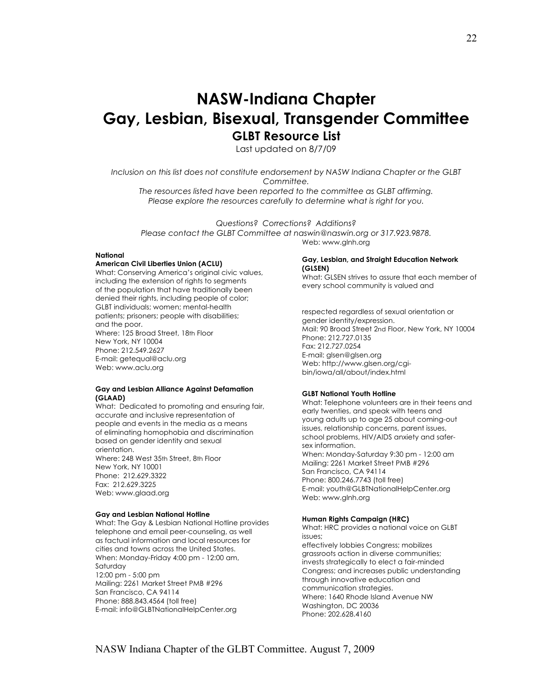# **NASW-Indiana Chapter Gay, Lesbian, Bisexual, Transgender Committee GLBT Resource List**

Last updated on 8/7/09

*Inclusion on this list does not constitute endorsement by NASW Indiana Chapter or the GLBT Committee. The resources listed have been reported to the committee as GLBT affirming.*

*Please explore the resources carefully to determine what is right for you.*

*Questions? Corrections? Additions? Please contact the GLBT Committee at naswin@naswin.org or 317.923.9878.* Web: www.glnh.org

#### **National**

#### **American Civil Liberties Union (ACLU)**

What: Conserving America's original civic values, including the extension of rights to segments of the population that have traditionally been denied their rights, including people of color; GLBT individuals; women; mental-health patients; prisoners; people with disabilities; and the poor. Where: 125 Broad Street, 18th Floor New York, NY 10004 Phone: 212.549.2627 E-mail: getequal@aclu.org Web: www.aclu.org

#### **Gay and Lesbian Alliance Against Defamation (GLAAD)**

What: Dedicated to promoting and ensuring fair, accurate and inclusive representation of people and events in the media as a means of eliminating homophobia and discrimination based on gender identity and sexual orientation. Where: 248 West 35th Street, 8th Floor New York, NY 10001 Phone: 212.629.3322 Fax: 212.629.3225 Web: www.glaad.org

#### **Gay and Lesbian National Hotline**

What: The Gay & Lesbian National Hotline provides telephone and email peer-counseling, as well as factual information and local resources for cities and towns across the United States. When: Monday-Friday 4:00 pm - 12:00 am, Saturday 12:00 pm - 5:00 pm Mailing: 2261 Market Street PMB #296 San Francisco, CA 94114 Phone: 888.843.4564 (toll free) E-mail: info@GLBTNationalHelpCenter.org

#### **Gay, Lesbian, and Straight Education Network (GLSEN)**

What: GLSEN strives to assure that each member of every school community is valued and

respected regardless of sexual orientation or gender identity/expression. Mail: 90 Broad Street 2nd Floor, New York, NY 10004 Phone: 212.727.0135 Fax: 212.727.0254 E-mail: glsen@glsen.org Web: http://www.glsen.org/cgibin/iowa/all/about/index.html

#### **GLBT National Youth Hotline**

What: Telephone volunteers are in their teens and early twenties, and speak with teens and young adults up to age 25 about coming-out issues, relationship concerns, parent issues, school problems, HIV/AIDS anxiety and safersex information. When: Monday-Saturday 9:30 pm - 12:00 am Mailing: 2261 Market Street PMB #296 San Francisco, CA 94114 Phone: 800.246.7743 (toll free) E-mail: youth@GLBTNationalHelpCenter.org Web: www.glnh.org

#### **Human Rights Campaign (HRC)**

What: HRC provides a national voice on GLBT issues; effectively lobbies Congress; mobilizes grassroots action in diverse communities; invests strategically to elect a fair-minded Congress; and increases public understanding through innovative education and communication strategies. Where: 1640 Rhode Island Avenue NW Washington, DC 20036 Phone: 202.628.4160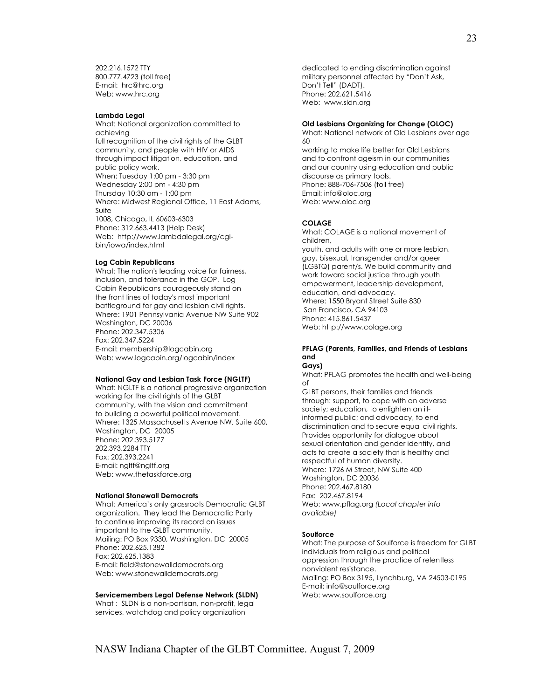202.216.1572 TTY 800.777.4723 (toll free) E-mail: hrc@hrc.org Web: www.hrc.org

#### **Lambda Legal**

What: National organization committed to achieving full recognition of the civil rights of the GLBT community, and people with HIV or AIDS through impact litigation, education, and public policy work. When: Tuesday 1:00 pm - 3:30 pm Wednesday 2:00 pm - 4:30 pm Thursday 10:30 am - 1:00 pm Where: Midwest Regional Office, 11 East Adams, Suite 1008, Chicago, IL 60603-6303 Phone: 312.663.4413 (Help Desk) Web: http://www.lambdalegal.org/cgibin/iowa/index.html

#### **Log Cabin Republicans**

What: The nation's leading voice for fairness, inclusion, and tolerance in the GOP. Log Cabin Republicans courageously stand on the front lines of today's most important battleground for gay and lesbian civil rights. Where: 1901 Pennsylvania Avenue NW Suite 902 Washington, DC 20006 Phone: 202.347.5306 Fax: 202.347.5224 E-mail: membership@logcabin.org Web: www.logcabin.org/logcabin/index

#### **National Gay and Lesbian Task Force (NGLTF)**

What: NGLTF is a national progressive organization working for the civil rights of the GLBT community, with the vision and commitment to building a powerful political movement. Where: 1325 Massachusetts Avenue NW, Suite 600, Washington, DC 20005 Phone: 202.393.5177 202.393.2284 TTY Fax: 202.393.2241 E-mail: ngltf@ngltf.org Web: www.thetaskforce.org

#### **National Stonewall Democrats**

What: America's only grassroots Democratic GLBT organization. They lead the Democratic Party to continue improving its record on issues important to the GLBT community. Mailing: PO Box 9330, Washington, DC 20005 Phone: 202.625.1382 Fax: 202.625.1383 E-mail: field@stonewalldemocrats.org Web: www.stonewalldemocrats.org

#### **Servicemembers Legal Defense Network (SLDN)**

What : SLDN is a non-partisan, non-profit, legal services, watchdog and policy organization

dedicated to ending discrimination against military personnel affected by "Don't Ask, Don't Tell" (DADT). Phone: 202.621.5416 Web:www.sldn.org

#### **Old Lesbians Organizing for Change (OLOC)**

What: National network of Old Lesbians over age 60

working to make life better for Old Lesbians and to confront ageism in our communities and our country using education and public discourse as primary tools. Phone: 888-706-7506 (toll free) Email: info@oloc.org Web: www.oloc.org

#### **COLAGE**

What: COLAGE is a national movement of children, youth, and adults with one or more lesbian, gay, bisexual, transgender and/or queer (LGBTQ) parent/s. We build community and work toward social justice through youth empowerment, leadership development, education, and advocacy.

Where: 1550 Bryant Street Suite 830 San Francisco, CA 94103 Phone: 415.861.5437 Web: http://www.colage.org

#### **PFLAG (Parents, Families, and Friends of Lesbians and**

#### **Gays)**

What: PFLAG promotes the health and well-being of

GLBT persons, their families and friends through: support, to cope with an adverse society; education, to enlighten an illinformed public; and advocacy, to end discrimination and to secure equal civil rights. Provides opportunity for dialogue about sexual orientation and gender identity, and acts to create a society that is healthy and respectful of human diversity. Where: 1726 M Street, NW Suite 400 Washington, DC 20036 Phone: 202.467.8180 Fax: 202.467.8194 Web: www.pflag.org *(Local chapter info available)*

#### **Soulforce**

What: The purpose of Soulforce is freedom for GLBT individuals from religious and political oppression through the practice of relentless nonviolent resistance. Mailing: PO Box 3195, Lynchburg, VA 24503-0195 E-mail: info@soulforce.org Web: www.soulforce.org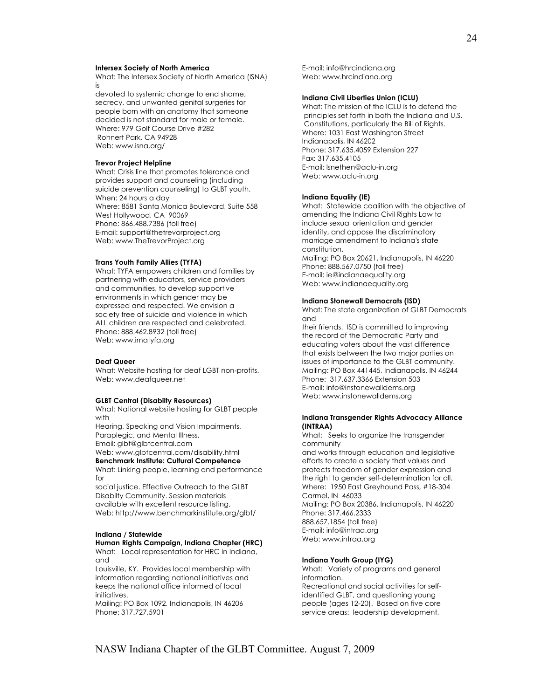#### **Intersex Society of North America**

What: The Intersex Society of North America (ISNA) is

devoted to systemic change to end shame, secrecy, and unwanted genital surgeries for people born with an anatomy that someone decided is not standard for male or female. Where: 979 Golf Course Drive #282 Rohnert Park, CA 94928 Web: www.isna.org/

#### **Trevor Project Helpline**

What: Crisis line that promotes tolerance and provides support and counseling (including suicide prevention counseling) to GLBT youth. When: 24 hours a day Where: 8581 Santa Monica Boulevard, Suite 558 West Hollywood, CA 90069 Phone: 866.488.7386 (toll free) E-mail: support@thetrevorproject.org Web: www.TheTrevorProject.org

#### **Trans Youth Family Allies (TYFA)**

What: TYFA empowers children and families by partnering with educators, service providers and communities, to develop supportive environments in which gender may be expressed and respected. We envision a society free of suicide and violence in which ALL children are respected and celebrated. Phone: 888.462.8932 (toll free) Web: www.imatyfa.org

#### **Deaf Queer**

What: Website hosting for deaf LGBT non-profits. Web: www.deafqueer.net

#### **GLBT Central (Disabilty Resources)**

What: National website hosting for GLBT people with

Hearing, Speaking and Vision Impairments, Paraplegic, and Mental Illness.

Email: glbt@glbtcentral.com

Web: www.glbtcentral.com/disability.html **Benchmark Institute: Cultural Competence** 

What: Linking people, learning and performance for

social justice. Effective Outreach to the GLBT Disabilty Community. Session materials available with excellent resource listing. Web: http://www.benchmarkinstitute.org/glbt/

#### **Indiana / Statewide**

#### **Human Rights Campaign, Indiana Chapter (HRC)**

What: Local representation for HRC in Indiana, and

Louisville, KY. Provides local membership with information regarding national initiatives and keeps the national office informed of local initiatives.

Mailing: PO Box 1092, Indianapolis, IN 46206 Phone: 317.727.5901

E-mail: info@hrcindiana.org Web: www.hrcindiana.org

#### **Indiana Civil Liberties Union (ICLU)**

What: The mission of the ICLU is to defend the principles set forth in both the Indiana and U.S. Constitutions, particularly the Bill of Rights. Where: 1031 East Washington Street Indianapolis, IN 46202 Phone: 317.635.4059 Extension 227 Fax: 317.635.4105 E-mail: lsnethen@aclu-in.org Web: www.aclu-in.org

#### **Indiana Equality (IE)**

What: Statewide coalition with the objective of amending the Indiana Civil Rights Law to include sexual orientation and gender identity, and oppose the discriminatory marriage amendment to Indiana's state constitution. Mailing: PO Box 20621, Indianapolis, IN 46220 Phone: 888.567.0750 (toll free) E-mail: ie@indianaequality.org Web: www.indianaequality.org

#### **Indiana Stonewall Democrats (ISD)**

What: The state organization of GLBT Democrats and

their friends. ISD is committed to improving the record of the Democratic Party and educating voters about the vast difference that exists between the two major parties on issues of importance to the GLBT community. Mailing: PO Box 441445, Indianapolis, IN 46244 Phone: 317.637.3366 Extension 503 E-mail: info@instonewalldems.org Web: www.instonewalldems.org

#### **Indiana Transgender Rights Advocacy Alliance (INTRAA)**

What: Seeks to organize the transgender community

and works through education and legislative efforts to create a society that values and protects freedom of gender expression and the right to gender self-determination for all. Where: 1950 East Greyhound Pass, #18-304 Carmel, IN 46033 Mailing: PO Box 20386, Indianapolis, IN 46220 Phone: 317.466.2333 888.657.1854 (toll free) E-mail: info@intraa.org Web: www.intraa.org

#### **Indiana Youth Group (IYG)**

What: Variety of programs and general information.

Recreational and social activities for selfidentified GLBT, and questioning young people (ages 12-20). Based on five core service areas: leadership development,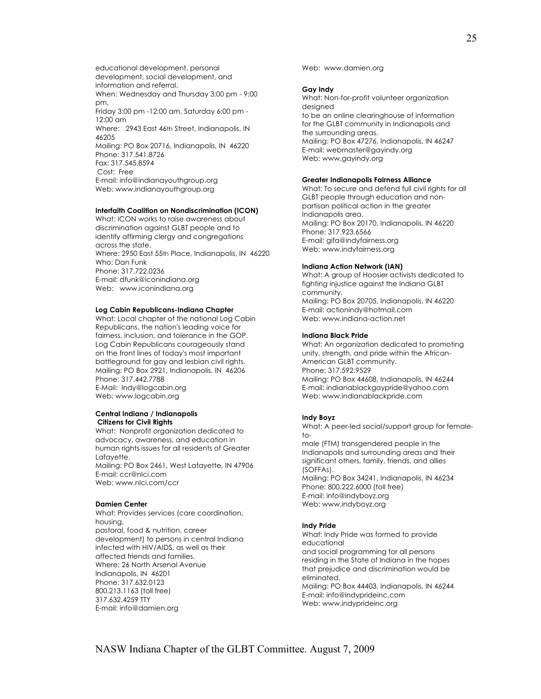educational development, personal development, social development, and information and referral. When: Wednesday and Thursday 3:00 pm - 9:00 pm, Friday 3:00 pm -12:00 am, Saturday 6:00 pm - 12:00 am Where: 2943 East 46th Street, Indianapolis, IN 46205 Mailing: PO Box 20716, Indianapolis, IN 46220 Phone: 317.541.8726 Fax: 317.545.8594 Cost: Free E-mail: info@indianayouthgroup.org Web: www.indianayouthgroup.org

#### **Interfaith Coalition on Nondiscrimination (ICON)**

What: ICON works to raise awareness about discrimination against GLBT people and to identify affirming clergy and congregations across the state. Where: 2950 East 55th Place, Indianapolis, IN 46220 Who: Dan Funk Phone: 317.722.0236 E-mail: dfunk@iconindiana.org Web: www.iconindiana.org

#### **Log Cabin Republicans-Indiana Chapter**

What: Local chapter of the national Log Cabin Republicans, the nation's leading voice for fairness, inclusion, and tolerance in the GOP. Log Cabin Republicans courageously stand on the front lines of today's most important battleground for gay and lesbian civil rights. Mailing: PO Box 2921, Indianapolis, IN 46206 Phone: 317.442.7788 E-Mail: Indy@logcabin.org Web: www.logcabin.org

#### **Central Indiana / Indianapolis Citizens for Civil Rights**

What: Nonprofit organization dedicated to advocacy, awareness, and education in human rights issues for all residents of Greater Lafayette. Mailing: PO Box 2461, West Lafayette, IN 47906 E-mail: ccr@nlci.com Web: www.nlci.com/ccr

#### **Damien Center**

What: Provides services (care coordination, housing, pastoral, food & nutrition, career development) to persons in central Indiana infected with HIV/AIDS, as well as their affected friends and families. Where: 26 North Arsenal Avenue Indianapolis, IN 46201 Phone: 317.632.0123 800.213.1163 (toll free) 317.632.4259 TTY E-mail: info@damien.org

Web: www.damien.org

#### **Gay Indy**

What: Non-for-profit volunteer organization designed to be an online clearinghouse of information for the GLBT community in Indianapolis and the surrounding areas. Mailing: PO Box 47276, Indianapolis, IN 46247 E-mail: webmaster@gayindy.org Web: www.gayindy.org

#### **Greater Indianapolis Fairness Alliance**

What: To secure and defend full civil rights for all GLBT people through education and nonpartisan political action in the greater Indianapolis area. Mailing: PO Box 20170, Indianapolis, IN 46220 Phone: 317.923.6566 E-mail: gifa@indyfairness.org Web: www.indyfairness.org

#### **Indiana Action Network (IAN)**

What: A group of Hoosier activists dedicated to fighting injustice against the Indiana GLBT community. Mailing: PO Box 20705, Indianapolis, IN 46220 E-mail: actionindy@hotmail.com Web: www.indiana-action.net

#### **Indiana Black Pride**

What: An organization dedicated to promoting unity, strength, and pride within the African-American GLBT community. Phone: 317.592.9529 Mailing: PO Box 44608, Indianapolis, IN 46244 E-mail: indianablackgaypride@yahoo.com Web: www.indianablackpride.com

#### **Indy Boyz**

What: A peer-led social/support group for female $to$ male (FTM) transgendered people in the Indianapolis and surrounding areas and their significant others, family, friends, and allies (SOFFAs). Mailing: PO Box 34241, Indianapolis, IN 46234 Phone: 800.222.6000 (toll free) E-mail: info@indyboyz.org Web: www.indyboyz.org

#### **Indy Pride**

What: Indy Pride was formed to provide educational and social programming for all persons residing in the State of Indiana in the hopes that prejudice and discrimination would be eliminated. Mailing: PO Box 44403, Indianapolis, IN 46244 E-mail: info@indyprideinc.com Web: www.indyprideinc.org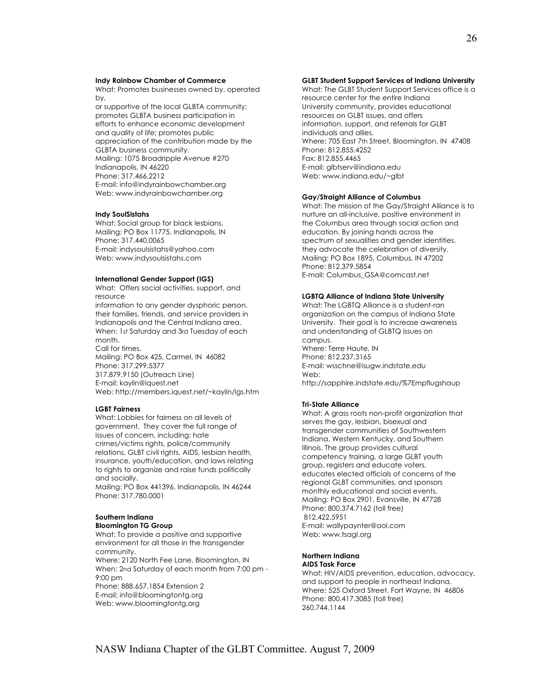#### **Indy Rainbow Chamber of Commerce**

What: Promotes businesses owned by, operated by,

or supportive of the local GLBTA community; promotes GLBTA business participation in efforts to enhance economic development and quality of life; promotes public appreciation of the contribution made by the GLBTA business community. Mailing: 1075 Broadripple Avenue #270 Indianapolis, IN 46220 Phone: 317.466.2212 E-mail: info@indyrainbowchamber.org Web: www.indyrainbowchamber.org

#### **Indy SoulSistahs**

What: Social group for black lesbians. Mailing: PO Box 11775, Indianapolis, IN Phone: 317.440.0065 E-mail: indysoulsistahs@yahoo.com Web: www.indysoulsistahs.com

#### **International Gender Support (IGS)**

What:Offers social activities, support, and resource information to any gender dysphoric person, their families, friends, and service providers in Indianapolis and the Central Indiana area. When: 1st Saturday and 3rd Tuesday of each month. Call for times. Mailing: PO Box 425, Carmel, IN 46082 Phone: 317.299.5377 317.879.9150 (Outreach Line) E-mail: kaylin@iquest.net Web: http://members.iquest.net/~kaylin/igs.htm

#### **LGBT Fairness**

What: Lobbies for fairness on all levels of government. They cover the full range of issues of concern, including: hate crimes/victims rights, police/community relations, GLBT civil rights, AIDS, lesbian health, insurance, youth/education, and laws relating to rights to organize and raise funds politically and socially.

Mailing: PO Box 441396, Indianapolis, IN 46244 Phone: 317.780.0001

#### **Southern Indiana**

#### **Bloomington TG Group**

What: To provide a positive and supportive environment for all those in the transgender community.

Where: 2120 North Fee Lane, Bloomington, IN When: 2nd Saturday of each month from 7:00 pm - 9:00 pm

Phone: 888.657.1854 Extension 2 E-mail: info@bloomingtontg.org Web: www.bloomingtontg.org

#### **GLBT Student Support Services of Indiana University**

What: The GLBT Student Support Services office is a resource center for the entire Indiana University community, provides educational resources on GLBT issues, and offers information, support, and referrals for GLBT individuals and allies. Where: 705 East 7th Street, Bloomington, IN 47408 Phone: 812.855.4252 Fax: 812.855.4465 E-mail: glbtserv@indiana.edu Web: www.indiana.edu/~glbt

#### **Gay/Straight Alliance of Columbus**

What: The mission of the Gay/Straight Alliance is to nurture an all-inclusive, positive environment in the Columbus area through social action and education. By joining hands across the spectrum of sexualities and gender identities, they advocate the celebration of diversity. Mailing: PO Box 1895, Columbus, IN 47202 Phone: 812.379.5854 E-mail: Columbus\_GSA@comcast.net

## **LGBTQ Alliance of Indiana State University**

What: The LGBTQ Alliance is a student-ran organization on the campus of Indiana State University. Their goal is to increase awareness and understanding of GLBTQ issues on campus. Where: Terre Haute, IN Phone: 812.237.3165 E-mail: wsschne@isugw.indstate.edu Web: http://sapphire.indstate.edu/%7Empflugshaup

#### **Tri-State Alliance**

What: A grass roots non-profit organization that serves the gay, lesbian, bisexual and transgender communities of Southwestern Indiana, Western Kentucky, and Southern Illinois. The group provides cultural competency training, a large GLBT youth group, registers and educate voters, educates elected officials of concerns of the regional GLBT communities, and sponsors monthly educational and social events. Mailing: PO Box 2901, Evansville, IN 47728 Phone: 800.374.7162 (toll free) 812.422.5951 E-mail: wallypaynter@aol.com Web: www.tsagl.org

#### **Northern Indiana AIDS Task Force**

What: HIV/AIDS prevention, education, advocacy, and support to people in northeast Indiana. Where: 525 Oxford Street, Fort Wayne, IN 46806 Phone: 800.417.3085 (toll free) 260.744.1144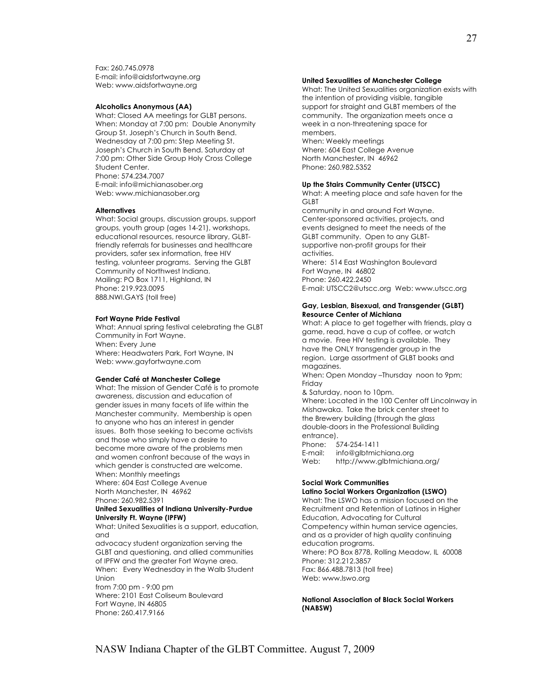Fax: 260.745.0978 E-mail: info@aidsfortwayne.org Web: www.aidsfortwayne.org

#### **Alcoholics Anonymous (AA)**

What: Closed AA meetings for GLBT persons. When: Monday at 7:00 pm: Double Anonymity Group St. Joseph's Church in South Bend. Wednesday at 7:00 pm: Step Meeting St. Joseph's Church in South Bend. Saturday at 7:00 pm: Other Side Group Holy Cross College Student Center. Phone: 574.234.7007 E-mail: info@michianasober.org Web: www.michianasober.org

#### **Alternatives**

What: Social groups, discussion groups, support groups, youth group (ages 14-21), workshops, educational resources, resource library, GLBTfriendly referrals for businesses and healthcare providers, safer sex information, free HIV testing, volunteer programs. Serving the GLBT Community of Northwest Indiana. Mailing: PO Box 1711, Highland, IN Phone: 219.923.0095 888.NWI.GAYS (toll free)

#### **Fort Wayne Pride Festival**

What: Annual spring festival celebrating the GLBT Community in Fort Wayne. When: Every June Where: Headwaters Park, Fort Wayne, IN Web: www.gayfortwayne.com

#### **Gender Café at Manchester College**

What: The mission of Gender Café is to promote awareness, discussion and education of gender issues in many facets of life within the Manchester community. Membership is open to anyone who has an interest in gender issues. Both those seeking to become activists and those who simply have a desire to become more aware of the problems men and women confront because of the ways in which gender is constructed are welcome. When: Monthly meetings Where: 604 East College Avenue North Manchester, IN 46962 Phone: 260.982.5391 **United Sexualities of Indiana University-Purdue University Ft. Wayne (IPFW)**  What: United Sexualities is a support, education, and advocacy student organization serving the GLBT and questioning, and allied communities of IPFW and the greater Fort Wayne area.

When: Every Wednesday in the Walb Student Union from 7:00 pm - 9:00 pm

Where: 2101 East Coliseum Boulevard Fort Wayne, IN 46805 Phone: 260.417.9166

#### **United Sexualities of Manchester College**

What: The United Sexualities organization exists with the intention of providing visible, tangible support for straight and GLBT members of the community. The organization meets once a week in a non-threatening space for members. When: Weekly meetings

Where: 604 East College Avenue North Manchester, IN 46962 Phone: 260.982.5352

#### **Up the Stairs Community Center (UTSCC)**

What: A meeting place and safe haven for the GLBT community in and around Fort Wayne. Center-sponsored activities, projects, and events designed to meet the needs of the GLBT community. Open to any GLBTsupportive non-profit groups for their activities. Where: 514 East Washington Boulevard Fort Wayne, IN 46802 Phone: 260.422.2450 E-mail: UTSCC2@utscc.org Web: www.utscc.org

## **Gay, Lesbian, Bisexual, and Transgender (GLBT)**

#### **Resource Center of Michiana**  What: A place to get together with friends, play a game, read, have a cup of coffee, or watch a movie. Free HIV testing is available. They

have the ONLY transgender group in the region. Large assortment of GLBT books and magazines.

When: Open Monday –Thursday noon to 9pm; Friday

& Saturday, noon to 10pm. Where: Located in the 100 Center off Lincolnway in Mishawaka. Take the brick center street to the Brewery building (through the glass double-doors in the Professional Building entrance). Phone: 574-254-1411<br>E-mail: info@albtmic

info@glbtmichiana.org Web: http://www.glbtmichiana.org/

#### **Social Work Communities**

#### **Latino Social Workers Organization (LSWO)**

What: The LSWO has a mission focused on the Recruitment and Retention of Latinos in Higher Education, Advocating for Cultural Competency within human service agencies, and as a provider of high quality continuing education programs. Where: PO Box 8778, Rolling Meadow, IL 60008 Phone: 312.212.3857 Fax: 866.488.7813 (toll free) Web: www.lswo.org

**National Association of Black Social Workers (NABSW)**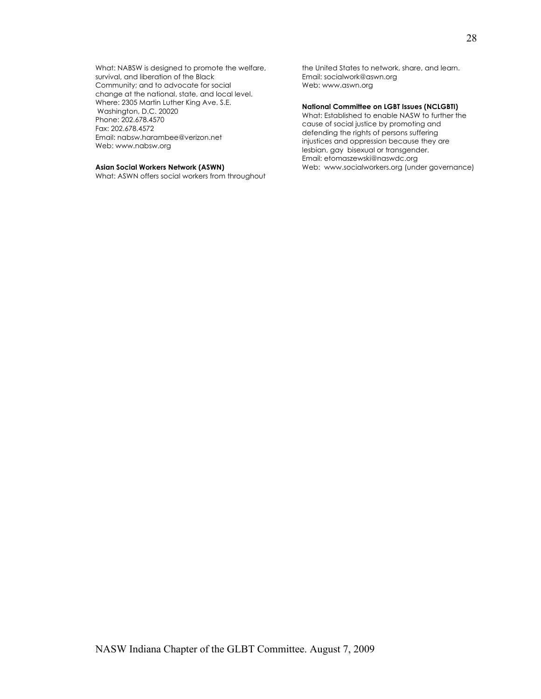What: NABSW is designed to promote the welfare, survival, and liberation of the Black Community; and to advocate for social change at the national, state, and local level. Where: 2305 Martin Luther King Ave. S.E. Washington, D.C. 20020 Phone: 202.678.4570 Fax: 202.678.4572 Email: nabsw.harambee@verizon.net Web: www.nabsw.org

#### **Asian Social Workers Network (ASWN)**

What: ASWN offers social workers from throughout

the United States to network, share, and learn. Email: socialwork@aswn.org Web: www.aswn.org

#### **National Committee on LGBT Issues (NCLGBTI)**

What: Established to enable NASW to further the cause of social justice by promoting and defending the rights of persons suffering injustices and oppression because they are lesbian, gay bisexual or transgender. Email: etomaszewski@naswdc.org Web: www.socialworkers.org (under governance)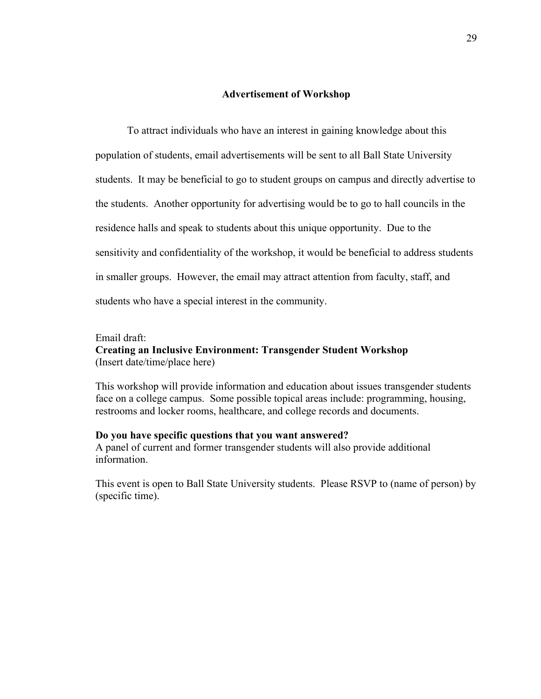## **Advertisement of Workshop**

To attract individuals who have an interest in gaining knowledge about this population of students, email advertisements will be sent to all Ball State University students. It may be beneficial to go to student groups on campus and directly advertise to the students. Another opportunity for advertising would be to go to hall councils in the residence halls and speak to students about this unique opportunity. Due to the sensitivity and confidentiality of the workshop, it would be beneficial to address students in smaller groups. However, the email may attract attention from faculty, staff, and students who have a special interest in the community.

## Email draft:

## **Creating an Inclusive Environment: Transgender Student Workshop** (Insert date/time/place here)

This workshop will provide information and education about issues transgender students face on a college campus. Some possible topical areas include: programming, housing, restrooms and locker rooms, healthcare, and college records and documents.

## **Do you have specific questions that you want answered?**

A panel of current and former transgender students will also provide additional information.

This event is open to Ball State University students. Please RSVP to (name of person) by (specific time).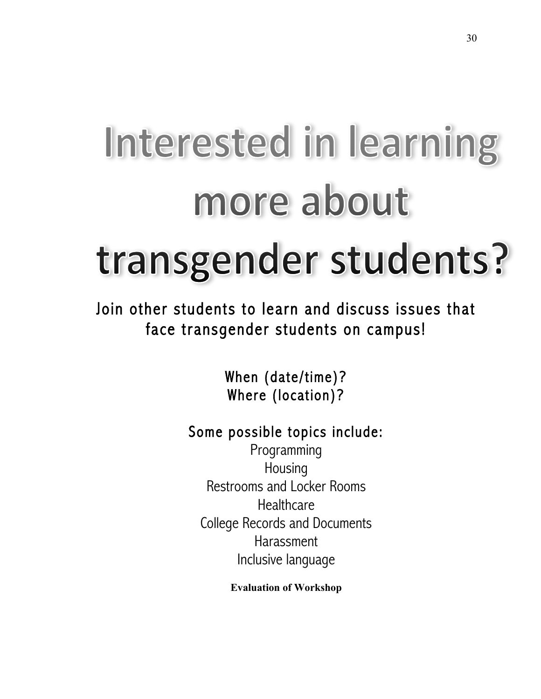# Interested in learning more about transgender students?

Join other students to learn and discuss issues that face transgender students on campus!

> When (date/time)? Where (location)?

# Some possible topics include:

Programming Housing Restrooms and Locker Rooms **Healthcare** College Records and Documents Harassment Inclusive language

**Evaluation of Workshop**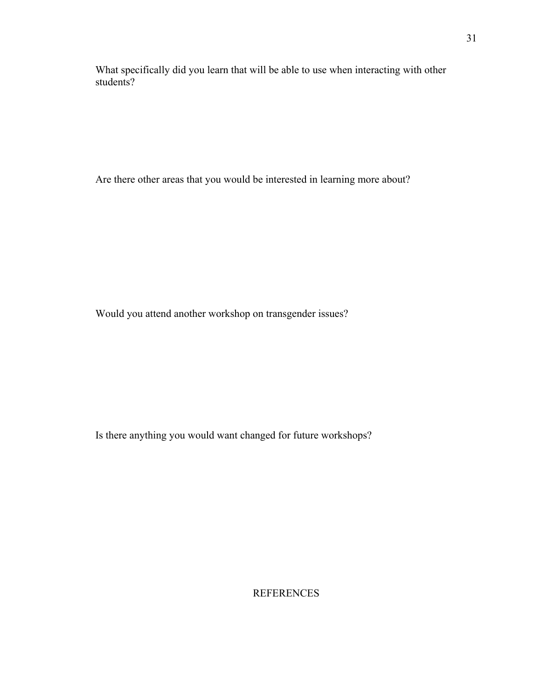What specifically did you learn that will be able to use when interacting with other students?

Are there other areas that you would be interested in learning more about?

Would you attend another workshop on transgender issues?

Is there anything you would want changed for future workshops?

**REFERENCES**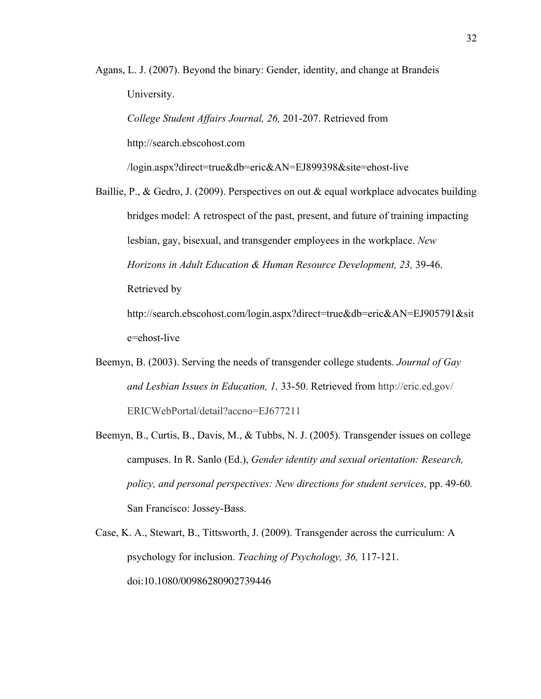Agans, L. J. (2007). Beyond the binary: Gender, identity, and change at Brandeis University.

*College Student Affairs Journal, 26,* 201-207. Retrieved from

http://search.ebscohost.com

/login.aspx?direct=true&db=eric&AN=EJ899398&site=ehost-live

Baillie, P., & Gedro, J. (2009). Perspectives on out & equal workplace advocates building bridges model: A retrospect of the past, present, and future of training impacting lesbian, gay, bisexual, and transgender employees in the workplace. *New Horizons in Adult Education & Human Resource Development, 23,* 39-46. Retrieved by http://search.ebscohost.com/login.aspx?direct=true&db=eric&AN=EJ905791&sit

e=ehost-live

- Beemyn, B. (2003). Serving the needs of transgender college students. *Journal of Gay and Lesbian Issues in Education, 1,* 33-50. Retrieved from http://eric.ed.gov/ ERICWebPortal/detail?accno=EJ677211
- Beemyn, B., Curtis, B., Davis, M., & Tubbs, N. J. (2005). Transgender issues on college campuses. In R. Sanlo (Ed.), *Gender identity and sexual orientation: Research, policy, and personal perspectives: New directions for student services,* pp. 49-60*.*  San Francisco: Jossey-Bass.
- Case, K. A., Stewart, B., Tittsworth, J. (2009). Transgender across the curriculum: A psychology for inclusion. *Teaching of Psychology, 36,* 117-121. doi:10.1080/00986280902739446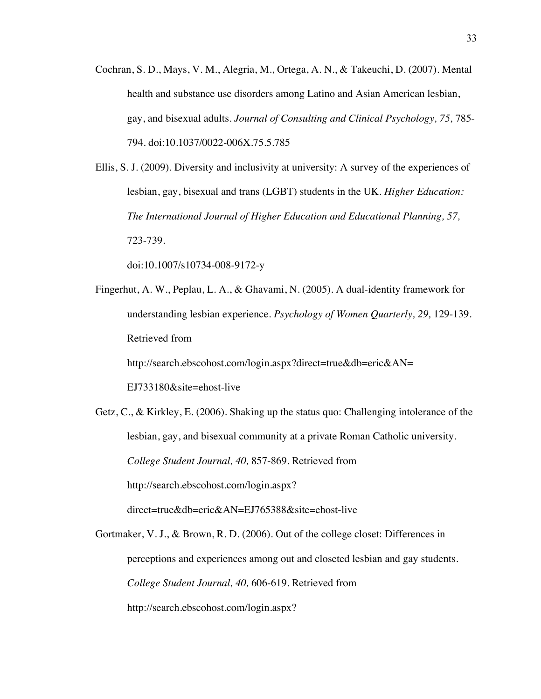- Cochran, S. D., Mays, V. M., Alegria, M., Ortega, A. N., & Takeuchi, D. (2007). Mental health and substance use disorders among Latino and Asian American lesbian, gay, and bisexual adults. *Journal of Consulting and Clinical Psychology, 75,* 785- 794. doi:10.1037/0022-006X.75.5.785
- Ellis, S. J. (2009). Diversity and inclusivity at university: A survey of the experiences of lesbian, gay, bisexual and trans (LGBT) students in the UK. *Higher Education: The International Journal of Higher Education and Educational Planning, 57,*  723-739.

doi:10.1007/s10734-008-9172-y

Fingerhut, A. W., Peplau, L. A., & Ghavami, N. (2005). A dual-identity framework for understanding lesbian experience. *Psychology of Women Quarterly, 29,* 129-139. Retrieved from

http://search.ebscohost.com/login.aspx?direct=true&db=eric&AN=

EJ733180&site=ehost-live

Getz, C., & Kirkley, E. (2006). Shaking up the status quo: Challenging intolerance of the lesbian, gay, and bisexual community at a private Roman Catholic university. *College Student Journal, 40,* 857-869. Retrieved from http://search.ebscohost.com/login.aspx? direct=true&db=eric&AN=EJ765388&site=ehost-live

Gortmaker, V. J., & Brown, R. D. (2006). Out of the college closet: Differences in perceptions and experiences among out and closeted lesbian and gay students. *College Student Journal, 40,* 606-619. Retrieved from http://search.ebscohost.com/login.aspx?